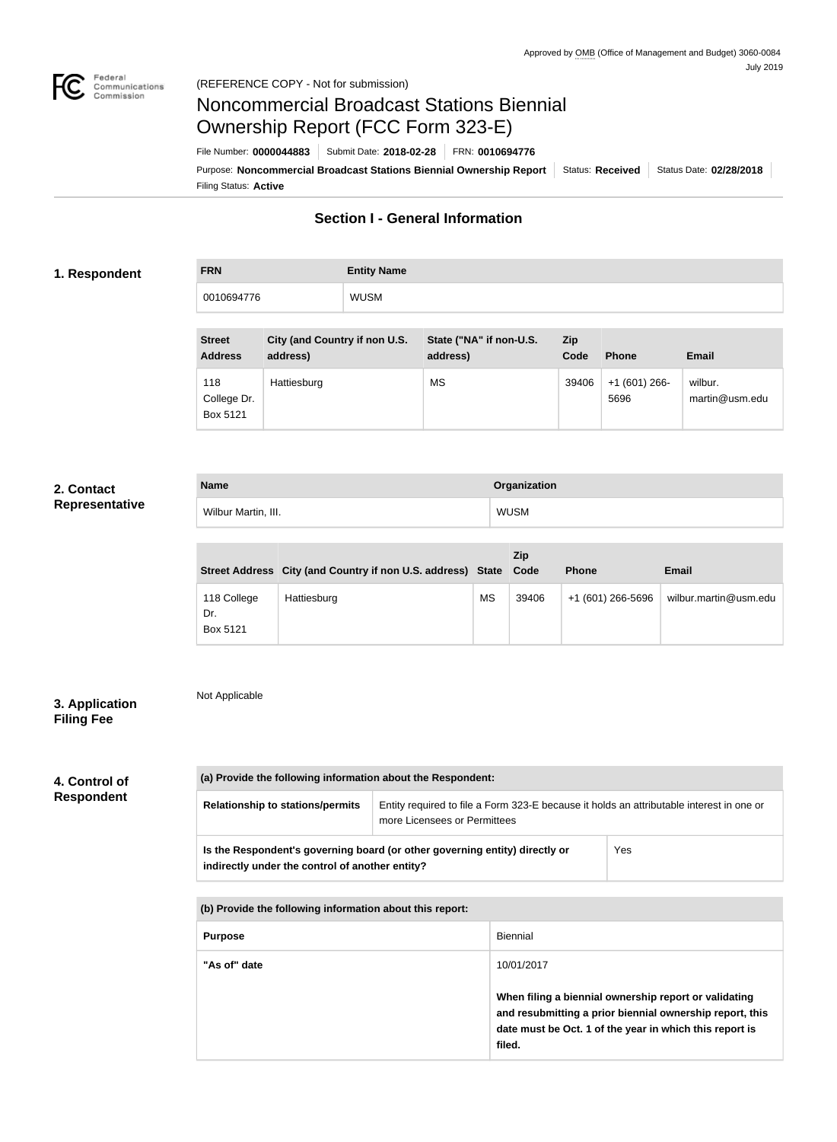

# Noncommercial Broadcast Stations Biennial Ownership Report (FCC Form 323-E)

Filing Status: **Active** Purpose: Noncommercial Broadcast Stations Biennial Ownership Report | Status: Received | Status Date: 02/28/2018 File Number: **0000044883** Submit Date: **2018-02-28** FRN: **0010694776**

# **Section I - General Information**

### **1. Respondent**

**FRN Entity Name** 0010694776 WUSM

| <b>Street</b><br><b>Address</b> | City (and Country if non U.S.<br>address) | State ("NA" if non-U.S.<br>address) | Zip<br>Code | <b>Phone</b>           | <b>Email</b>              |
|---------------------------------|-------------------------------------------|-------------------------------------|-------------|------------------------|---------------------------|
| 118<br>College Dr.<br>Box 5121  | Hattiesburg                               | <b>MS</b>                           | 39406       | $+1(601)266$ -<br>5696 | wilbur.<br>martin@usm.edu |

### **2. Contact Representative**

| <b>Name</b>         | Organization |
|---------------------|--------------|
| Wilbur Martin, III. | WUSM         |

|                                | Street Address City (and Country if non U.S. address) State Code |           | Zip   | <b>Phone</b>      | <b>Email</b>          |
|--------------------------------|------------------------------------------------------------------|-----------|-------|-------------------|-----------------------|
| 118 College<br>Dr.<br>Box 5121 | Hattiesburg                                                      | <b>MS</b> | 39406 | +1 (601) 266-5696 | wilbur.martin@usm.edu |

# **3. Application Filing Fee**

Not Applicable

# **4. Control of**

**Respondent**

| (a) Provide the following information about the Respondent:                                                                           |                                                                                                                          |  |  |  |  |  |
|---------------------------------------------------------------------------------------------------------------------------------------|--------------------------------------------------------------------------------------------------------------------------|--|--|--|--|--|
| <b>Relationship to stations/permits</b>                                                                                               | Entity required to file a Form 323-E because it holds an attributable interest in one or<br>more Licensees or Permittees |  |  |  |  |  |
| Yes<br>Is the Respondent's governing board (or other governing entity) directly or<br>indirectly under the control of another entity? |                                                                                                                          |  |  |  |  |  |
|                                                                                                                                       |                                                                                                                          |  |  |  |  |  |
| (b) Provide the following information about this report:                                                                              |                                                                                                                          |  |  |  |  |  |
| <b>Biennial</b><br><b>Purpose</b>                                                                                                     |                                                                                                                          |  |  |  |  |  |

| "As of" date | 10/01/2017                                                                                                                                                                             |
|--------------|----------------------------------------------------------------------------------------------------------------------------------------------------------------------------------------|
|              | When filing a biennial ownership report or validating<br>and resubmitting a prior biennial ownership report, this<br>date must be Oct. 1 of the year in which this report is<br>filed. |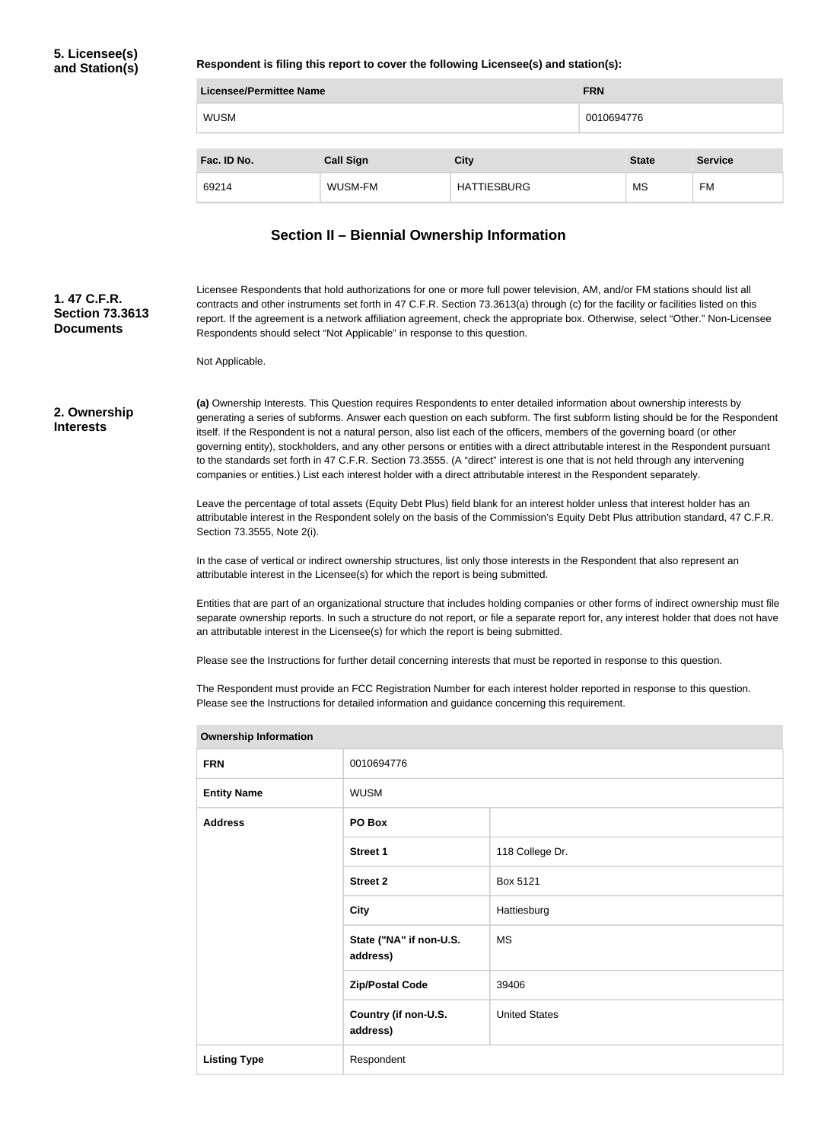**Respondent is filing this report to cover the following Licensee(s) and station(s):**

| <b>Licensee/Permittee Name</b> |                  |                    |  | <b>FRN</b>   |                |  |
|--------------------------------|------------------|--------------------|--|--------------|----------------|--|
| <b>WUSM</b>                    |                  |                    |  | 0010694776   |                |  |
|                                |                  |                    |  |              |                |  |
| Fac. ID No.                    | <b>Call Sign</b> | <b>City</b>        |  | <b>State</b> | <b>Service</b> |  |
| 69214                          | WUSM-FM          | <b>HATTIESBURG</b> |  | MS           | FM             |  |

# **Section II – Biennial Ownership Information**

| 1.47 C.F.R.<br><b>Section 73.3613</b><br><b>Documents</b> | Licensee Respondents that hold authorizations for one or more full power television, AM, and/or FM stations should list all<br>contracts and other instruments set forth in 47 C.F.R. Section 73.3613(a) through (c) for the facility or facilities listed on this<br>report. If the agreement is a network affiliation agreement, check the appropriate box. Otherwise, select "Other." Non-Licensee<br>Respondents should select "Not Applicable" in response to this question.                                                                                                                                                                                                                                                                                                   |                                     |                                                                                                                                                                                                                                                                   |  |  |
|-----------------------------------------------------------|-------------------------------------------------------------------------------------------------------------------------------------------------------------------------------------------------------------------------------------------------------------------------------------------------------------------------------------------------------------------------------------------------------------------------------------------------------------------------------------------------------------------------------------------------------------------------------------------------------------------------------------------------------------------------------------------------------------------------------------------------------------------------------------|-------------------------------------|-------------------------------------------------------------------------------------------------------------------------------------------------------------------------------------------------------------------------------------------------------------------|--|--|
|                                                           | Not Applicable.                                                                                                                                                                                                                                                                                                                                                                                                                                                                                                                                                                                                                                                                                                                                                                     |                                     |                                                                                                                                                                                                                                                                   |  |  |
| 2. Ownership<br><b>Interests</b>                          | (a) Ownership Interests. This Question requires Respondents to enter detailed information about ownership interests by<br>generating a series of subforms. Answer each question on each subform. The first subform listing should be for the Respondent<br>itself. If the Respondent is not a natural person, also list each of the officers, members of the governing board (or other<br>governing entity), stockholders, and any other persons or entities with a direct attributable interest in the Respondent pursuant<br>to the standards set forth in 47 C.F.R. Section 73.3555. (A "direct" interest is one that is not held through any intervening<br>companies or entities.) List each interest holder with a direct attributable interest in the Respondent separately. |                                     |                                                                                                                                                                                                                                                                   |  |  |
|                                                           | Section 73.3555, Note 2(i).                                                                                                                                                                                                                                                                                                                                                                                                                                                                                                                                                                                                                                                                                                                                                         |                                     | Leave the percentage of total assets (Equity Debt Plus) field blank for an interest holder unless that interest holder has an<br>attributable interest in the Respondent solely on the basis of the Commission's Equity Debt Plus attribution standard, 47 C.F.R. |  |  |
|                                                           | attributable interest in the Licensee(s) for which the report is being submitted.                                                                                                                                                                                                                                                                                                                                                                                                                                                                                                                                                                                                                                                                                                   |                                     | In the case of vertical or indirect ownership structures, list only those interests in the Respondent that also represent an                                                                                                                                      |  |  |
|                                                           | Entities that are part of an organizational structure that includes holding companies or other forms of indirect ownership must file<br>separate ownership reports. In such a structure do not report, or file a separate report for, any interest holder that does not have<br>an attributable interest in the Licensee(s) for which the report is being submitted.                                                                                                                                                                                                                                                                                                                                                                                                                |                                     |                                                                                                                                                                                                                                                                   |  |  |
|                                                           | Please see the Instructions for further detail concerning interests that must be reported in response to this question.<br>The Respondent must provide an FCC Registration Number for each interest holder reported in response to this question.<br>Please see the Instructions for detailed information and guidance concerning this requirement.                                                                                                                                                                                                                                                                                                                                                                                                                                 |                                     |                                                                                                                                                                                                                                                                   |  |  |
|                                                           | <b>Ownership Information</b>                                                                                                                                                                                                                                                                                                                                                                                                                                                                                                                                                                                                                                                                                                                                                        |                                     |                                                                                                                                                                                                                                                                   |  |  |
|                                                           | <b>FRN</b>                                                                                                                                                                                                                                                                                                                                                                                                                                                                                                                                                                                                                                                                                                                                                                          | 0010694776                          |                                                                                                                                                                                                                                                                   |  |  |
|                                                           | <b>Entity Name</b>                                                                                                                                                                                                                                                                                                                                                                                                                                                                                                                                                                                                                                                                                                                                                                  | <b>WUSM</b>                         |                                                                                                                                                                                                                                                                   |  |  |
|                                                           | <b>Address</b>                                                                                                                                                                                                                                                                                                                                                                                                                                                                                                                                                                                                                                                                                                                                                                      | PO Box                              |                                                                                                                                                                                                                                                                   |  |  |
|                                                           |                                                                                                                                                                                                                                                                                                                                                                                                                                                                                                                                                                                                                                                                                                                                                                                     | <b>Street 1</b>                     | 118 College Dr.                                                                                                                                                                                                                                                   |  |  |
|                                                           |                                                                                                                                                                                                                                                                                                                                                                                                                                                                                                                                                                                                                                                                                                                                                                                     | <b>Street 2</b>                     | Box 5121                                                                                                                                                                                                                                                          |  |  |
|                                                           |                                                                                                                                                                                                                                                                                                                                                                                                                                                                                                                                                                                                                                                                                                                                                                                     | <b>City</b>                         | Hattiesburg                                                                                                                                                                                                                                                       |  |  |
|                                                           |                                                                                                                                                                                                                                                                                                                                                                                                                                                                                                                                                                                                                                                                                                                                                                                     | State ("NA" if non-U.S.<br>address) | <b>MS</b>                                                                                                                                                                                                                                                         |  |  |
|                                                           |                                                                                                                                                                                                                                                                                                                                                                                                                                                                                                                                                                                                                                                                                                                                                                                     | <b>Zip/Postal Code</b>              | 39406                                                                                                                                                                                                                                                             |  |  |
|                                                           |                                                                                                                                                                                                                                                                                                                                                                                                                                                                                                                                                                                                                                                                                                                                                                                     | Country (if non-U.S.<br>address)    | <b>United States</b>                                                                                                                                                                                                                                              |  |  |
|                                                           | <b>Listing Type</b>                                                                                                                                                                                                                                                                                                                                                                                                                                                                                                                                                                                                                                                                                                                                                                 | Respondent                          |                                                                                                                                                                                                                                                                   |  |  |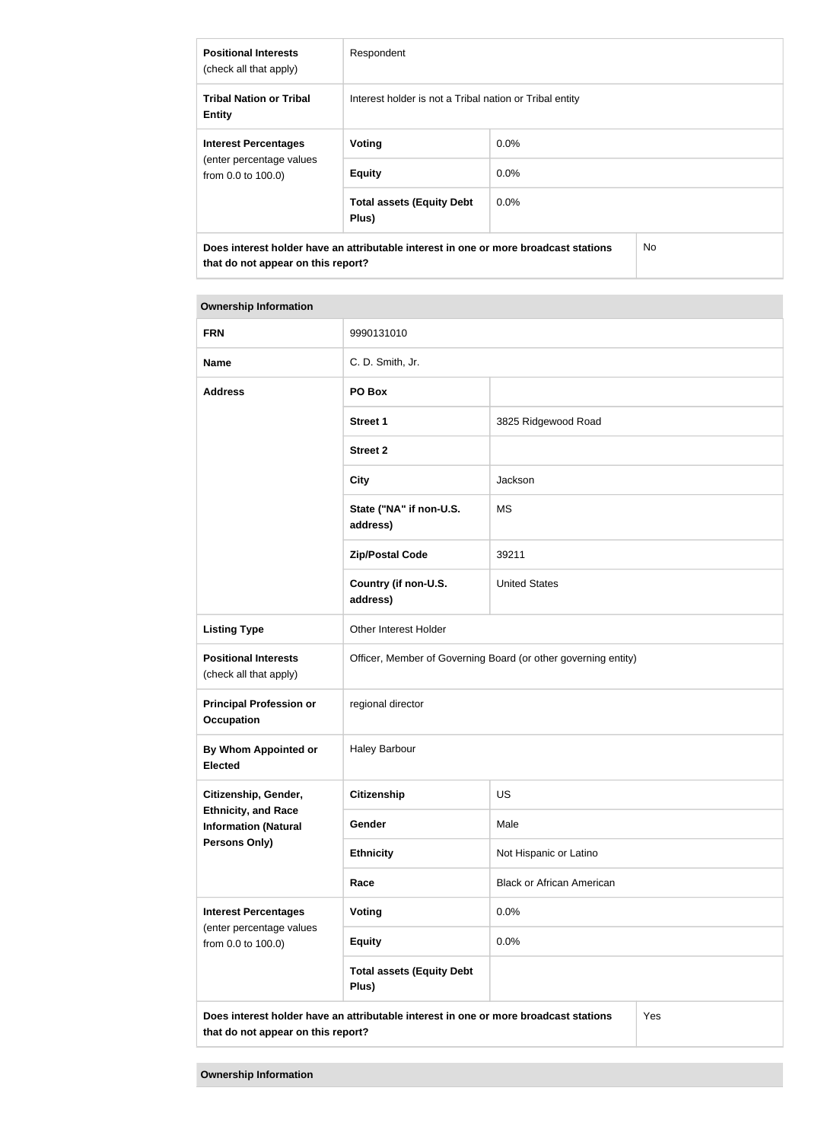| <b>Positional Interests</b><br>(check all that apply)                                | Respondent                                              |         |    |  |  |
|--------------------------------------------------------------------------------------|---------------------------------------------------------|---------|----|--|--|
| <b>Tribal Nation or Tribal</b><br><b>Entity</b>                                      | Interest holder is not a Tribal nation or Tribal entity |         |    |  |  |
| <b>Interest Percentages</b>                                                          | Voting                                                  | $0.0\%$ |    |  |  |
| (enter percentage values<br>from 0.0 to 100.0)                                       | <b>Equity</b>                                           | 0.0%    |    |  |  |
|                                                                                      | <b>Total assets (Equity Debt</b><br>Plus)               | $0.0\%$ |    |  |  |
| Does interest holder have an attributable interest in one or more broadcast stations |                                                         |         | No |  |  |

| <b>Ownership Information</b>                              |                                                                                      |                        |  |  |
|-----------------------------------------------------------|--------------------------------------------------------------------------------------|------------------------|--|--|
| <b>FRN</b>                                                | 9990131010                                                                           |                        |  |  |
| <b>Name</b>                                               | C. D. Smith, Jr.                                                                     |                        |  |  |
| <b>Address</b>                                            | PO Box                                                                               |                        |  |  |
|                                                           | <b>Street 1</b>                                                                      | 3825 Ridgewood Road    |  |  |
|                                                           | <b>Street 2</b>                                                                      |                        |  |  |
|                                                           | <b>City</b>                                                                          | Jackson                |  |  |
|                                                           | State ("NA" if non-U.S.<br>address)                                                  | <b>MS</b>              |  |  |
|                                                           | <b>Zip/Postal Code</b>                                                               | 39211                  |  |  |
|                                                           | Country (if non-U.S.<br>address)                                                     | <b>United States</b>   |  |  |
| <b>Listing Type</b>                                       | Other Interest Holder                                                                |                        |  |  |
| <b>Positional Interests</b><br>(check all that apply)     | Officer, Member of Governing Board (or other governing entity)                       |                        |  |  |
| <b>Principal Profession or</b><br><b>Occupation</b>       | regional director                                                                    |                        |  |  |
| By Whom Appointed or<br>Elected                           | <b>Haley Barbour</b>                                                                 |                        |  |  |
| Citizenship, Gender,                                      | <b>Citizenship</b>                                                                   | <b>US</b>              |  |  |
| <b>Ethnicity, and Race</b><br><b>Information (Natural</b> | <b>Gender</b>                                                                        | Male                   |  |  |
| <b>Persons Only)</b>                                      | <b>Ethnicity</b>                                                                     | Not Hispanic or Latino |  |  |
|                                                           | <b>Black or African American</b><br>Race                                             |                        |  |  |
| <b>Interest Percentages</b>                               | <b>Voting</b>                                                                        | 0.0%                   |  |  |
| (enter percentage values<br>from 0.0 to 100.0)            | <b>Equity</b>                                                                        | 0.0%                   |  |  |
|                                                           | <b>Total assets (Equity Debt</b><br>Plus)                                            |                        |  |  |
| that do not appear on this report?                        | Does interest holder have an attributable interest in one or more broadcast stations | Yes                    |  |  |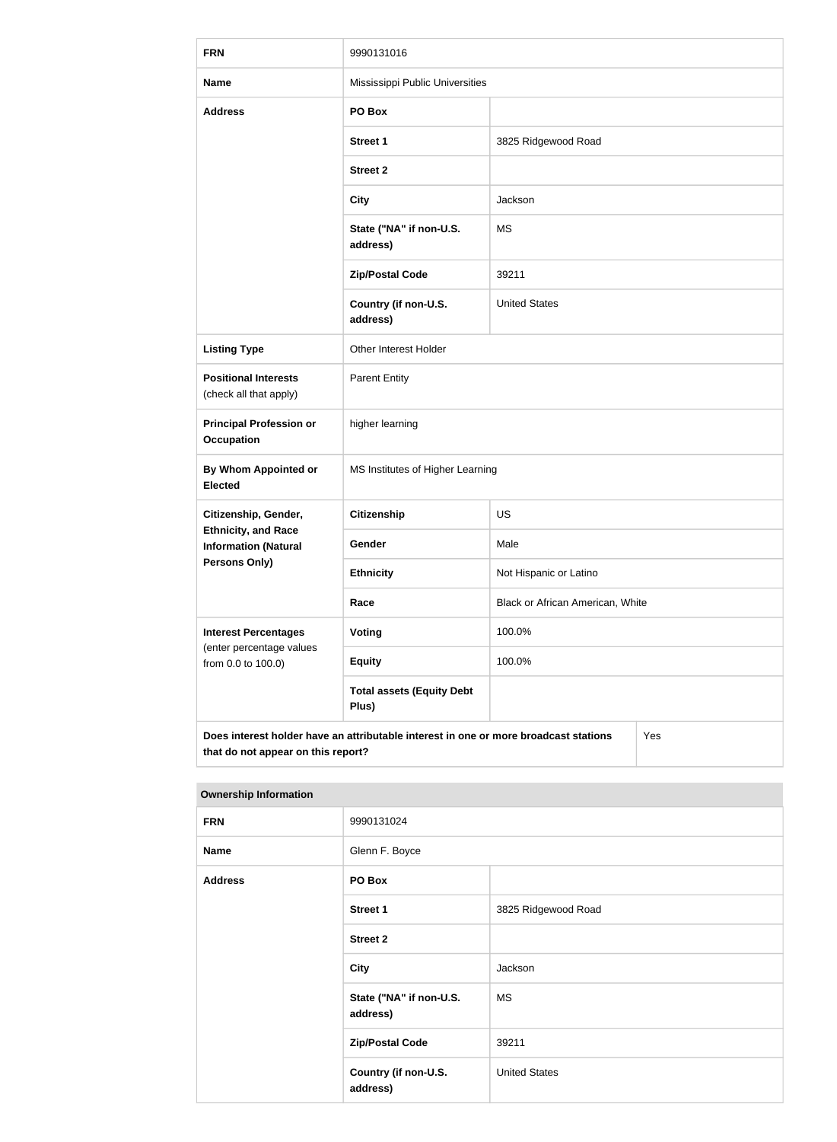| <b>FRN</b>                                                                                                                        | 9990131016                                |                                  |  |  |  |
|-----------------------------------------------------------------------------------------------------------------------------------|-------------------------------------------|----------------------------------|--|--|--|
| <b>Name</b>                                                                                                                       | Mississippi Public Universities           |                                  |  |  |  |
| <b>Address</b>                                                                                                                    | PO Box                                    |                                  |  |  |  |
|                                                                                                                                   | <b>Street 1</b>                           | 3825 Ridgewood Road              |  |  |  |
|                                                                                                                                   | <b>Street 2</b>                           |                                  |  |  |  |
|                                                                                                                                   | <b>City</b>                               | Jackson                          |  |  |  |
|                                                                                                                                   | State ("NA" if non-U.S.<br>address)       | <b>MS</b>                        |  |  |  |
|                                                                                                                                   | <b>Zip/Postal Code</b>                    | 39211                            |  |  |  |
|                                                                                                                                   | Country (if non-U.S.<br>address)          | <b>United States</b>             |  |  |  |
| <b>Listing Type</b>                                                                                                               | Other Interest Holder                     |                                  |  |  |  |
| <b>Positional Interests</b><br>(check all that apply)                                                                             | <b>Parent Entity</b>                      |                                  |  |  |  |
| <b>Principal Profession or</b><br><b>Occupation</b>                                                                               | higher learning                           |                                  |  |  |  |
| By Whom Appointed or<br><b>Elected</b>                                                                                            | MS Institutes of Higher Learning          |                                  |  |  |  |
| Citizenship, Gender,                                                                                                              | Citizenship                               | US                               |  |  |  |
| <b>Ethnicity, and Race</b><br><b>Information (Natural</b>                                                                         | Gender                                    | Male                             |  |  |  |
| Persons Only)                                                                                                                     | <b>Ethnicity</b>                          | Not Hispanic or Latino           |  |  |  |
|                                                                                                                                   | Race                                      | Black or African American, White |  |  |  |
| <b>Interest Percentages</b><br>(enter percentage values                                                                           | <b>Voting</b>                             | 100.0%                           |  |  |  |
| from 0.0 to 100.0)                                                                                                                | <b>Equity</b>                             | 100.0%                           |  |  |  |
|                                                                                                                                   | <b>Total assets (Equity Debt</b><br>Plus) |                                  |  |  |  |
| Does interest holder have an attributable interest in one or more broadcast stations<br>Yes<br>that do not appear on this report? |                                           |                                  |  |  |  |

| <b>FRN</b>     | 9990131024                          |                      |  |
|----------------|-------------------------------------|----------------------|--|
| <b>Name</b>    | Glenn F. Boyce                      |                      |  |
| <b>Address</b> | PO Box                              |                      |  |
|                | Street 1                            | 3825 Ridgewood Road  |  |
|                | Street 2                            |                      |  |
|                | <b>City</b>                         | Jackson              |  |
|                | State ("NA" if non-U.S.<br>address) | <b>MS</b>            |  |
|                | <b>Zip/Postal Code</b>              | 39211                |  |
|                | Country (if non-U.S.<br>address)    | <b>United States</b> |  |
|                |                                     |                      |  |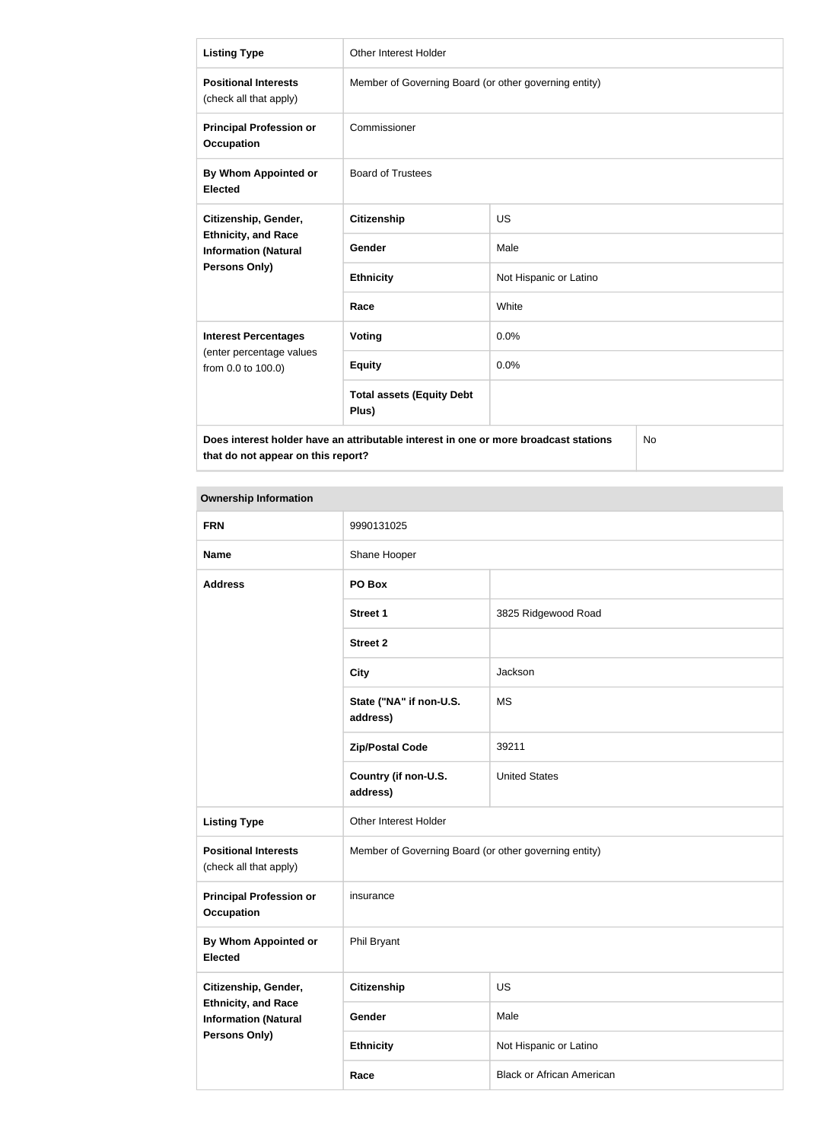| <b>Listing Type</b>                                                                        | <b>Other Interest Holder</b>                          |                        |  |  |  |
|--------------------------------------------------------------------------------------------|-------------------------------------------------------|------------------------|--|--|--|
| <b>Positional Interests</b><br>(check all that apply)                                      | Member of Governing Board (or other governing entity) |                        |  |  |  |
| <b>Principal Profession or</b><br><b>Occupation</b>                                        | Commissioner                                          |                        |  |  |  |
| By Whom Appointed or<br><b>Elected</b>                                                     | <b>Board of Trustees</b>                              |                        |  |  |  |
| Citizenship, Gender,                                                                       | <b>Citizenship</b>                                    | US                     |  |  |  |
| <b>Ethnicity, and Race</b><br><b>Information (Natural</b>                                  | Gender                                                | Male                   |  |  |  |
| Persons Only)                                                                              | <b>Ethnicity</b>                                      | Not Hispanic or Latino |  |  |  |
|                                                                                            | Race                                                  | White                  |  |  |  |
| <b>Interest Percentages</b>                                                                | Voting                                                | 0.0%                   |  |  |  |
| (enter percentage values<br>from 0.0 to 100.0)                                             | <b>Equity</b>                                         | 0.0%                   |  |  |  |
|                                                                                            | <b>Total assets (Equity Debt</b><br>Plus)             |                        |  |  |  |
| Does interest holder have an attributable interest in one or more broadcast stations<br>No |                                                       |                        |  |  |  |

**Ownership Information FRN** 9990131025 Name **Name** Shane Hooper **Address PO Box Street 1** 3825 Ridgewood Road **Street 2 City** Jackson **State ("NA" if non-U.S. address)** MS **Zip/Postal Code** 39211 **Country (if non-U.S. address)** United States Listing Type **CE** Other Interest Holder **Positional Interests** (check all that apply) Member of Governing Board (or other governing entity) **Principal Profession or Occupation** insurance **By Whom Appointed or Elected** Phil Bryant **Citizenship, Gender, Ethnicity, and Race Information (Natural Persons Only) Citizenship** US Gender Male **Ethnicity** Not Hispanic or Latino **Race Black or African American**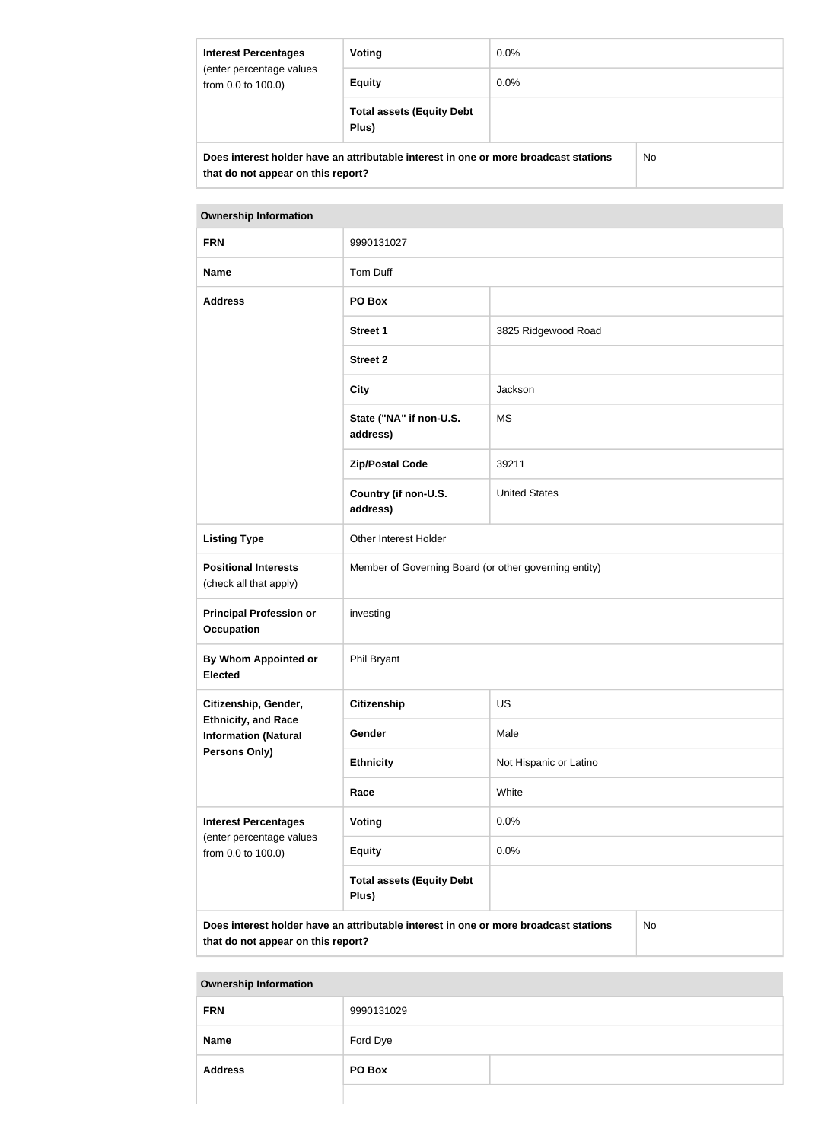| <b>Interest Percentages</b><br>(enter percentage values<br>from 0.0 to 100.0) | Voting                                                                               | $0.0\%$ |    |
|-------------------------------------------------------------------------------|--------------------------------------------------------------------------------------|---------|----|
|                                                                               | <b>Equity</b>                                                                        | $0.0\%$ |    |
|                                                                               | <b>Total assets (Equity Debt</b><br>Plus)                                            |         |    |
|                                                                               | Does interest holder have an attributable interest in one or more broadcast stations |         | No |

| <b>Ownership Information</b>                                                               |                                                       |                        |  |  |
|--------------------------------------------------------------------------------------------|-------------------------------------------------------|------------------------|--|--|
| <b>FRN</b>                                                                                 | 9990131027                                            |                        |  |  |
| <b>Name</b>                                                                                | Tom Duff                                              |                        |  |  |
| <b>Address</b>                                                                             | PO Box                                                |                        |  |  |
|                                                                                            | <b>Street 1</b>                                       | 3825 Ridgewood Road    |  |  |
|                                                                                            | <b>Street 2</b>                                       |                        |  |  |
|                                                                                            | <b>City</b>                                           | Jackson                |  |  |
|                                                                                            | State ("NA" if non-U.S.<br>address)                   | <b>MS</b>              |  |  |
|                                                                                            | <b>Zip/Postal Code</b>                                | 39211                  |  |  |
|                                                                                            | Country (if non-U.S.<br>address)                      | <b>United States</b>   |  |  |
| <b>Listing Type</b>                                                                        | Other Interest Holder                                 |                        |  |  |
| <b>Positional Interests</b><br>(check all that apply)                                      | Member of Governing Board (or other governing entity) |                        |  |  |
| <b>Principal Profession or</b><br><b>Occupation</b>                                        | investing                                             |                        |  |  |
| By Whom Appointed or<br><b>Elected</b>                                                     | Phil Bryant                                           |                        |  |  |
| Citizenship, Gender,                                                                       | <b>Citizenship</b>                                    | US                     |  |  |
| <b>Ethnicity, and Race</b><br><b>Information (Natural</b>                                  | Gender                                                | Male                   |  |  |
| <b>Persons Only)</b>                                                                       | <b>Ethnicity</b>                                      | Not Hispanic or Latino |  |  |
|                                                                                            | Race                                                  | White                  |  |  |
| <b>Interest Percentages</b><br>(enter percentage values<br>from 0.0 to 100.0)              | <b>Voting</b>                                         | 0.0%                   |  |  |
|                                                                                            | <b>Equity</b>                                         | 0.0%                   |  |  |
|                                                                                            | <b>Total assets (Equity Debt</b><br>Plus)             |                        |  |  |
| Does interest holder have an attributable interest in one or more broadcast stations<br>No |                                                       |                        |  |  |

**that do not appear on this report?**

| <b>FRN</b>     | 9990131029 |  |
|----------------|------------|--|
| <b>Name</b>    | Ford Dye   |  |
| <b>Address</b> | PO Box     |  |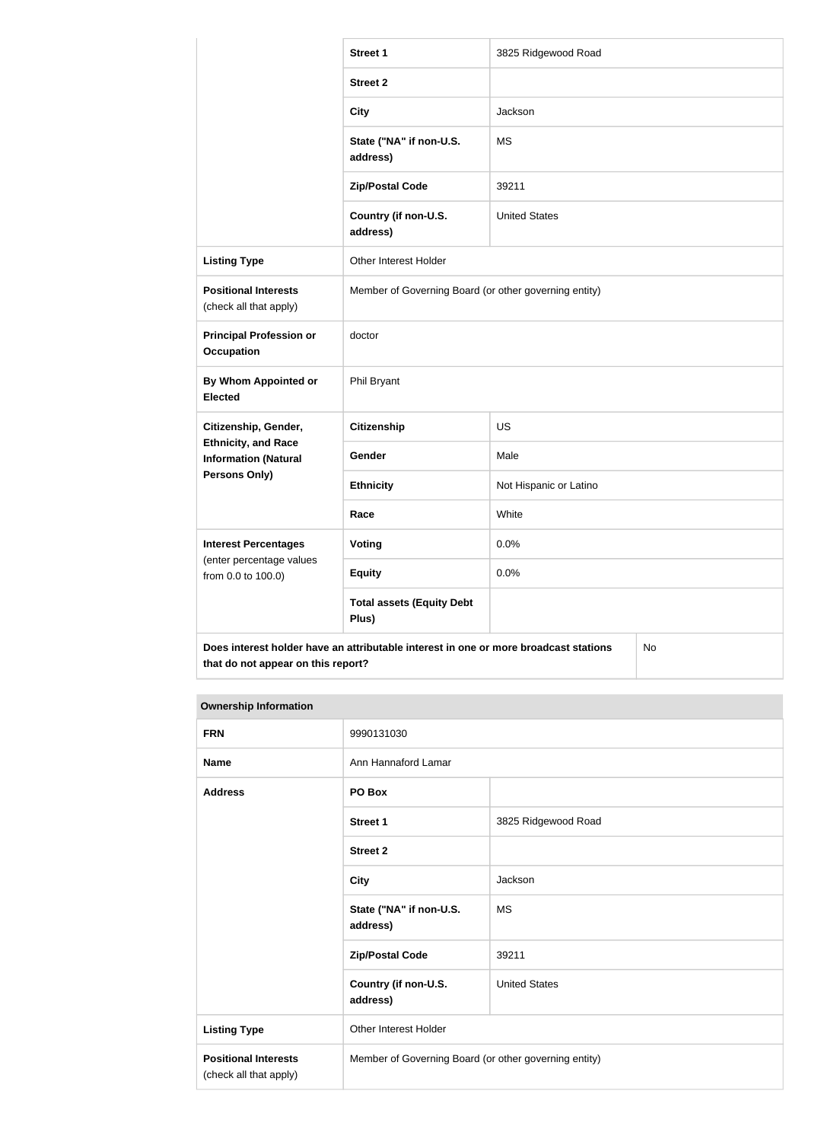|                                                           | <b>Street 1</b>                                                                      | 3825 Ridgewood Road    |  |
|-----------------------------------------------------------|--------------------------------------------------------------------------------------|------------------------|--|
|                                                           | <b>Street 2</b>                                                                      |                        |  |
|                                                           | <b>City</b>                                                                          | Jackson                |  |
|                                                           | State ("NA" if non-U.S.<br>address)                                                  | <b>MS</b>              |  |
|                                                           | <b>Zip/Postal Code</b>                                                               | 39211                  |  |
|                                                           | Country (if non-U.S.<br>address)                                                     | <b>United States</b>   |  |
| <b>Listing Type</b>                                       | Other Interest Holder                                                                |                        |  |
| <b>Positional Interests</b><br>(check all that apply)     | Member of Governing Board (or other governing entity)                                |                        |  |
| <b>Principal Profession or</b><br><b>Occupation</b>       | doctor                                                                               |                        |  |
| By Whom Appointed or<br><b>Elected</b>                    | Phil Bryant                                                                          |                        |  |
| Citizenship, Gender,                                      | <b>Citizenship</b>                                                                   | <b>US</b>              |  |
| <b>Ethnicity, and Race</b><br><b>Information (Natural</b> | Gender                                                                               | Male                   |  |
| <b>Persons Only)</b>                                      | <b>Ethnicity</b>                                                                     | Not Hispanic or Latino |  |
|                                                           | Race                                                                                 | White                  |  |
| <b>Interest Percentages</b>                               | <b>Voting</b>                                                                        | 0.0%                   |  |
| (enter percentage values<br>from 0.0 to 100.0)            | <b>Equity</b>                                                                        | 0.0%                   |  |
|                                                           | <b>Total assets (Equity Debt</b><br>Plus)                                            |                        |  |
|                                                           | Does interest holder have an attributable interest in one or more broadcast stations | No                     |  |

| <b>Ownership Information</b> |
|------------------------------|
|                              |

| <b>FRN</b>                                            | 9990131030                                            |                      |  |
|-------------------------------------------------------|-------------------------------------------------------|----------------------|--|
| <b>Name</b>                                           | Ann Hannaford Lamar                                   |                      |  |
| <b>Address</b>                                        | PO Box                                                |                      |  |
|                                                       | <b>Street 1</b>                                       | 3825 Ridgewood Road  |  |
|                                                       | <b>Street 2</b>                                       |                      |  |
|                                                       | <b>City</b>                                           | Jackson              |  |
|                                                       | State ("NA" if non-U.S.<br>address)                   | <b>MS</b>            |  |
|                                                       | <b>Zip/Postal Code</b>                                | 39211                |  |
|                                                       | Country (if non-U.S.<br>address)                      | <b>United States</b> |  |
| <b>Listing Type</b>                                   | Other Interest Holder                                 |                      |  |
| <b>Positional Interests</b><br>(check all that apply) | Member of Governing Board (or other governing entity) |                      |  |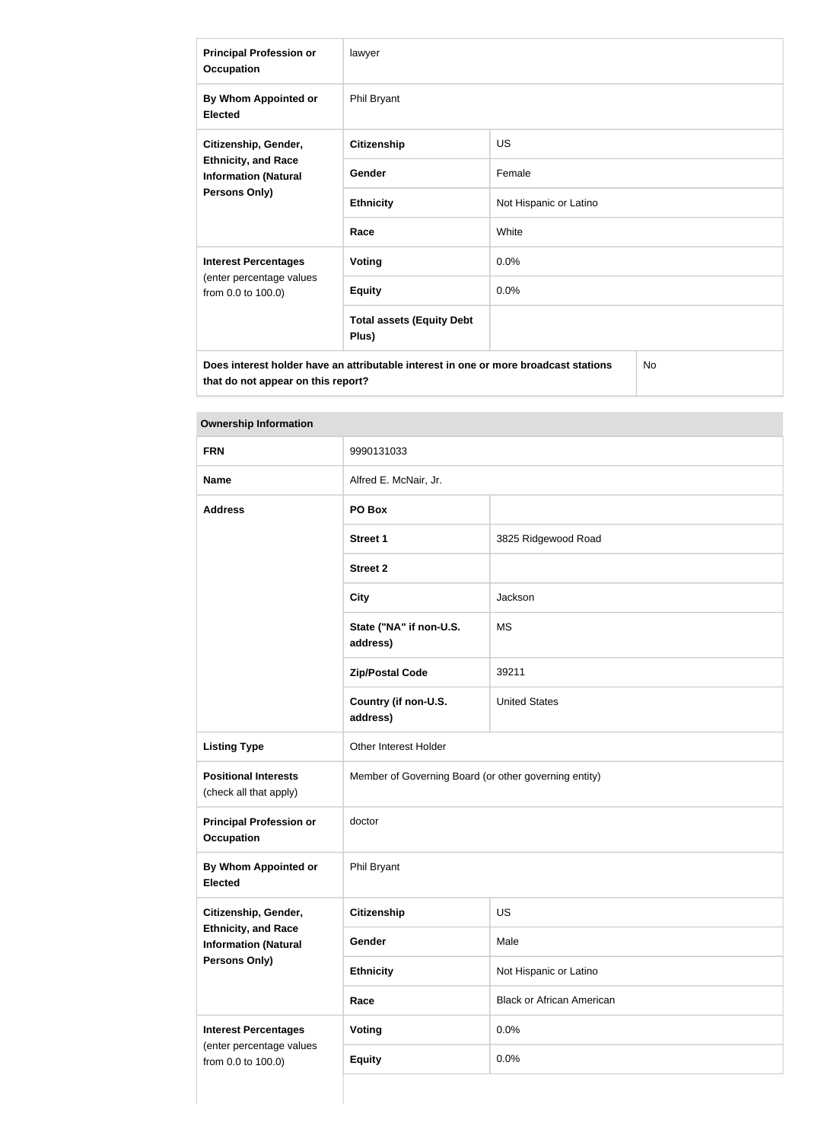| <b>Principal Profession or</b><br><b>Occupation</b>                                                       | lawyer                                    |                        |  |
|-----------------------------------------------------------------------------------------------------------|-------------------------------------------|------------------------|--|
| By Whom Appointed or<br><b>Elected</b>                                                                    | Phil Bryant                               |                        |  |
| Citizenship, Gender,<br><b>Ethnicity, and Race</b><br><b>Information (Natural</b><br><b>Persons Only)</b> | <b>Citizenship</b>                        | <b>US</b>              |  |
|                                                                                                           | Gender                                    | Female                 |  |
|                                                                                                           | <b>Ethnicity</b>                          | Not Hispanic or Latino |  |
|                                                                                                           | Race                                      | White                  |  |
| <b>Interest Percentages</b>                                                                               | <b>Voting</b>                             | 0.0%                   |  |
| (enter percentage values<br>from 0.0 to 100.0)                                                            | <b>Equity</b>                             | 0.0%                   |  |
|                                                                                                           | <b>Total assets (Equity Debt</b><br>Plus) |                        |  |
| No.<br>Does interest holder have an attributable interest in one or more broadcast stations               |                                           |                        |  |

| <b>Ownership Information</b>                                                      |                                                       |                                  |  |
|-----------------------------------------------------------------------------------|-------------------------------------------------------|----------------------------------|--|
| <b>FRN</b>                                                                        | 9990131033                                            |                                  |  |
| <b>Name</b>                                                                       | Alfred E. McNair, Jr.                                 |                                  |  |
| <b>Address</b>                                                                    | PO Box                                                |                                  |  |
|                                                                                   | <b>Street 1</b>                                       | 3825 Ridgewood Road              |  |
|                                                                                   | <b>Street 2</b>                                       |                                  |  |
|                                                                                   | <b>City</b>                                           | Jackson                          |  |
|                                                                                   | State ("NA" if non-U.S.<br>address)                   | <b>MS</b>                        |  |
|                                                                                   | <b>Zip/Postal Code</b>                                | 39211                            |  |
|                                                                                   | Country (if non-U.S.<br>address)                      | <b>United States</b>             |  |
| <b>Listing Type</b>                                                               | Other Interest Holder                                 |                                  |  |
| <b>Positional Interests</b><br>(check all that apply)                             | Member of Governing Board (or other governing entity) |                                  |  |
| <b>Principal Profession or</b><br><b>Occupation</b>                               | doctor                                                |                                  |  |
| By Whom Appointed or<br><b>Elected</b>                                            | Phil Bryant                                           |                                  |  |
| Citizenship, Gender,                                                              | <b>Citizenship</b>                                    | US                               |  |
| <b>Ethnicity, and Race</b><br><b>Information (Natural</b><br><b>Persons Only)</b> | Gender                                                | Male                             |  |
|                                                                                   | <b>Ethnicity</b>                                      | Not Hispanic or Latino           |  |
|                                                                                   | Race                                                  | <b>Black or African American</b> |  |
| <b>Interest Percentages</b>                                                       | Voting                                                | 0.0%                             |  |
| (enter percentage values<br>from 0.0 to 100.0)                                    | <b>Equity</b>                                         | 0.0%                             |  |
|                                                                                   |                                                       |                                  |  |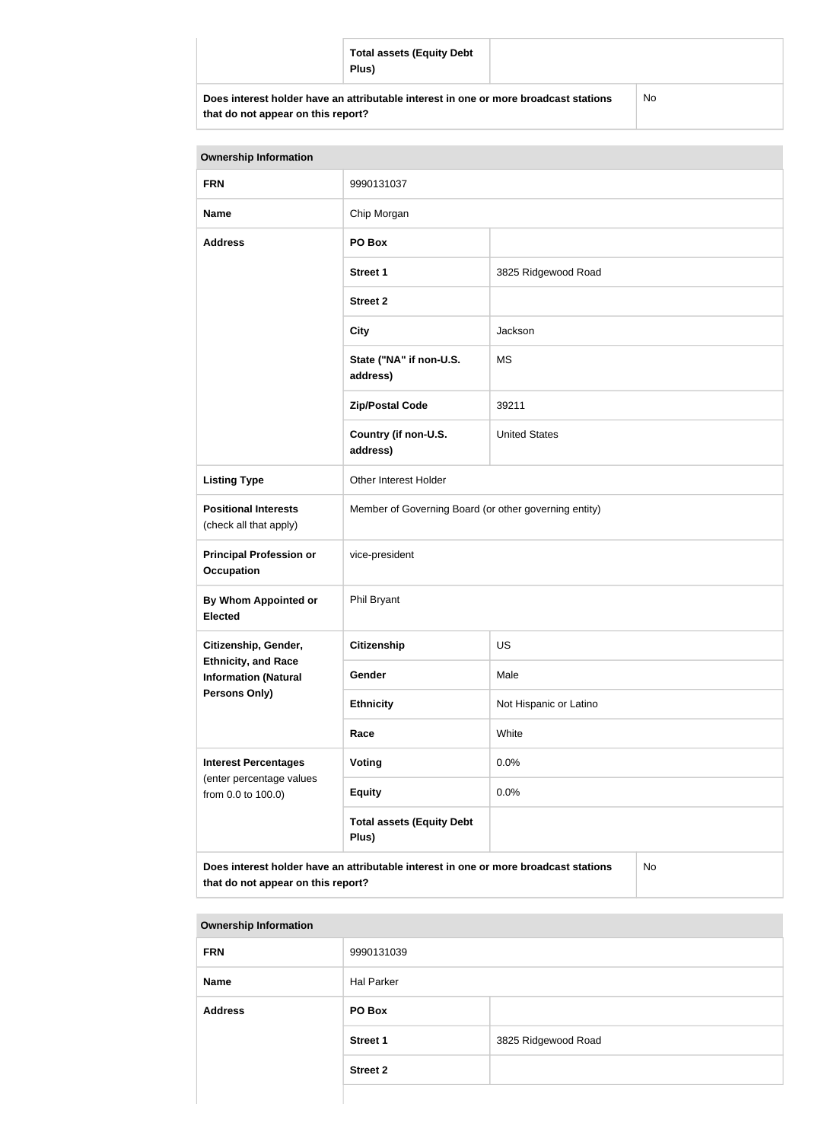|                                    | <b>Total assets (Equity Debt</b><br>Plus)                                            |    |
|------------------------------------|--------------------------------------------------------------------------------------|----|
| that do not appear on this report? | Does interest holder have an attributable interest in one or more broadcast stations | No |

| <b>Ownership Information</b>                                                                                                     |                                                       |                        |  |
|----------------------------------------------------------------------------------------------------------------------------------|-------------------------------------------------------|------------------------|--|
| <b>FRN</b>                                                                                                                       | 9990131037                                            |                        |  |
| <b>Name</b>                                                                                                                      | Chip Morgan                                           |                        |  |
| <b>Address</b>                                                                                                                   | PO Box                                                |                        |  |
|                                                                                                                                  | <b>Street 1</b>                                       | 3825 Ridgewood Road    |  |
|                                                                                                                                  | <b>Street 2</b>                                       |                        |  |
|                                                                                                                                  | <b>City</b>                                           | Jackson                |  |
|                                                                                                                                  | State ("NA" if non-U.S.<br>address)                   | <b>MS</b>              |  |
|                                                                                                                                  | <b>Zip/Postal Code</b>                                | 39211                  |  |
|                                                                                                                                  | Country (if non-U.S.<br>address)                      | <b>United States</b>   |  |
| <b>Listing Type</b>                                                                                                              | Other Interest Holder                                 |                        |  |
| <b>Positional Interests</b><br>(check all that apply)                                                                            | Member of Governing Board (or other governing entity) |                        |  |
| <b>Principal Profession or</b><br><b>Occupation</b>                                                                              | vice-president                                        |                        |  |
| By Whom Appointed or<br><b>Elected</b>                                                                                           | Phil Bryant                                           |                        |  |
| Citizenship, Gender,                                                                                                             | <b>Citizenship</b>                                    | <b>US</b>              |  |
| <b>Ethnicity, and Race</b><br><b>Information (Natural</b>                                                                        | Gender                                                | Male                   |  |
| Persons Only)                                                                                                                    | <b>Ethnicity</b>                                      | Not Hispanic or Latino |  |
|                                                                                                                                  | Race                                                  | White                  |  |
| <b>Interest Percentages</b><br>(enter percentage values                                                                          | Voting                                                | 0.0%                   |  |
| from 0.0 to 100.0)                                                                                                               | <b>Equity</b>                                         | 0.0%                   |  |
|                                                                                                                                  | <b>Total assets (Equity Debt</b><br>Plus)             |                        |  |
| Does interest holder have an attributable interest in one or more broadcast stations<br>No<br>that do not appear on this report? |                                                       |                        |  |

| <b>Ownership Information</b> |                   |                     |  |
|------------------------------|-------------------|---------------------|--|
| <b>FRN</b>                   | 9990131039        |                     |  |
| <b>Name</b>                  | <b>Hal Parker</b> |                     |  |
| <b>Address</b>               | PO Box            |                     |  |
|                              | <b>Street 1</b>   | 3825 Ridgewood Road |  |
|                              | <b>Street 2</b>   |                     |  |
|                              |                   |                     |  |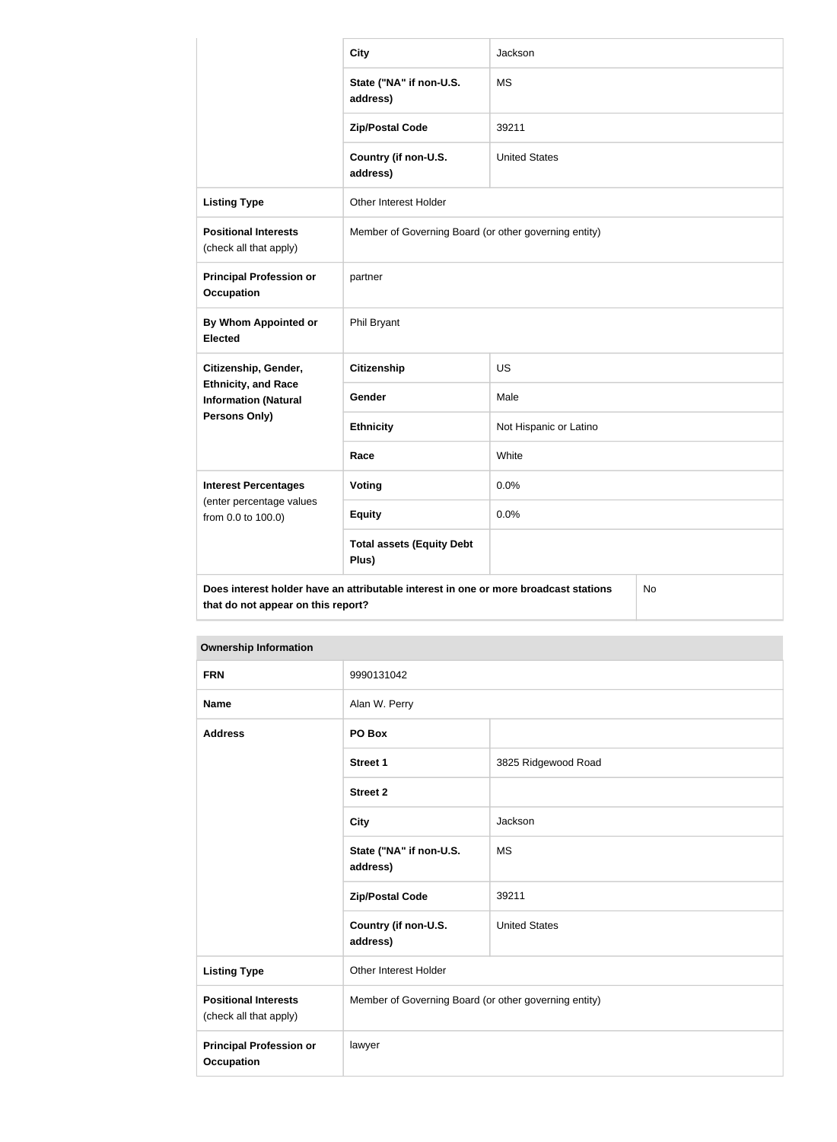|                                                           | <b>City</b>                                                                          | Jackson                |    |
|-----------------------------------------------------------|--------------------------------------------------------------------------------------|------------------------|----|
|                                                           | State ("NA" if non-U.S.<br>address)                                                  | <b>MS</b>              |    |
|                                                           | <b>Zip/Postal Code</b>                                                               | 39211                  |    |
|                                                           | Country (if non-U.S.<br>address)                                                     | <b>United States</b>   |    |
| <b>Listing Type</b>                                       | Other Interest Holder                                                                |                        |    |
| <b>Positional Interests</b><br>(check all that apply)     | Member of Governing Board (or other governing entity)                                |                        |    |
| <b>Principal Profession or</b><br><b>Occupation</b>       | partner                                                                              |                        |    |
| By Whom Appointed or<br><b>Elected</b>                    | Phil Bryant                                                                          |                        |    |
| Citizenship, Gender,                                      | <b>Citizenship</b>                                                                   | <b>US</b>              |    |
| <b>Ethnicity, and Race</b><br><b>Information (Natural</b> | Gender                                                                               | Male                   |    |
| Persons Only)                                             | <b>Ethnicity</b>                                                                     | Not Hispanic or Latino |    |
|                                                           | Race                                                                                 | White                  |    |
| <b>Interest Percentages</b>                               | Voting                                                                               | 0.0%                   |    |
| (enter percentage values<br>from 0.0 to 100.0)            | <b>Equity</b>                                                                        | 0.0%                   |    |
|                                                           | <b>Total assets (Equity Debt</b><br>Plus)                                            |                        |    |
| that do not appear on this report?                        | Does interest holder have an attributable interest in one or more broadcast stations |                        | No |

| <b>Ownership Information</b>                          |                                                       |                      |
|-------------------------------------------------------|-------------------------------------------------------|----------------------|
| <b>FRN</b>                                            | 9990131042                                            |                      |
| <b>Name</b>                                           | Alan W. Perry                                         |                      |
| <b>Address</b>                                        | PO Box                                                |                      |
|                                                       | <b>Street 1</b>                                       | 3825 Ridgewood Road  |
|                                                       | <b>Street 2</b>                                       |                      |
|                                                       | <b>City</b>                                           | Jackson              |
|                                                       | State ("NA" if non-U.S.<br>address)                   | <b>MS</b>            |
|                                                       | <b>Zip/Postal Code</b>                                | 39211                |
|                                                       | Country (if non-U.S.<br>address)                      | <b>United States</b> |
| <b>Listing Type</b>                                   | Other Interest Holder                                 |                      |
| <b>Positional Interests</b><br>(check all that apply) | Member of Governing Board (or other governing entity) |                      |
| <b>Principal Profession or</b><br><b>Occupation</b>   | lawyer                                                |                      |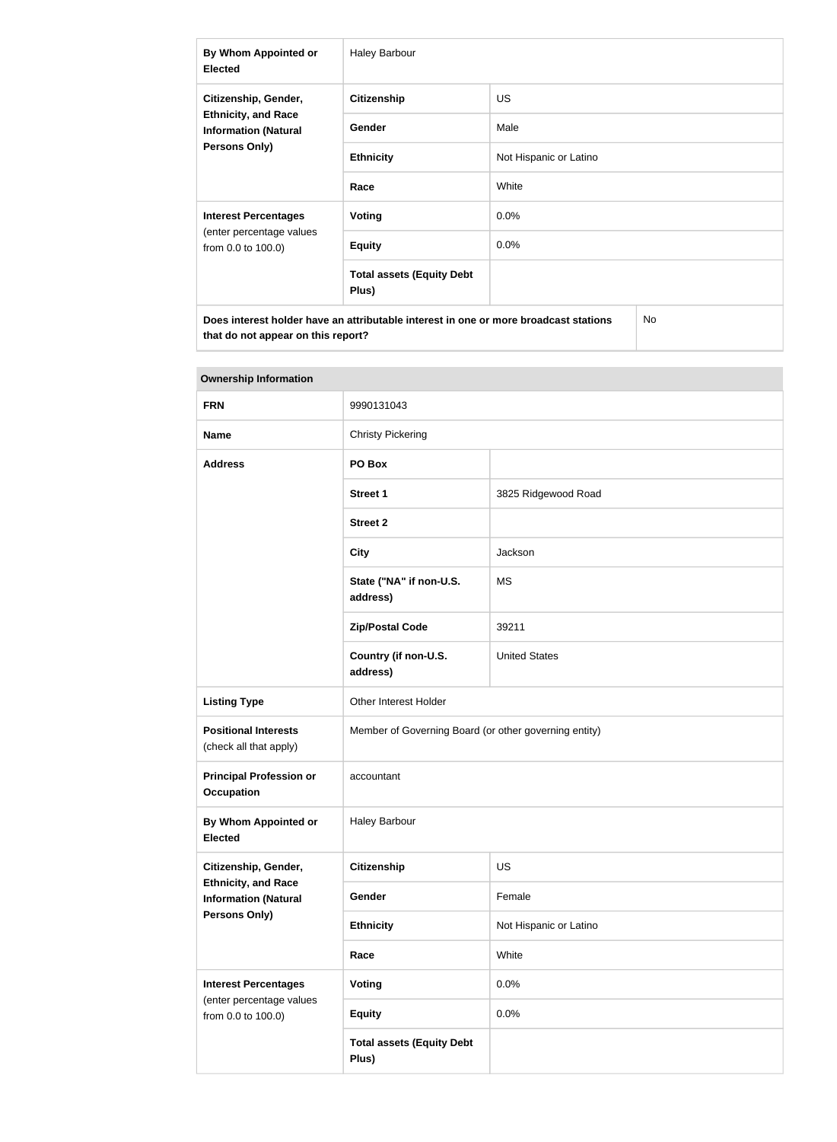| By Whom Appointed or<br><b>Elected</b>                                                                    | <b>Haley Barbour</b>                      |                        |  |
|-----------------------------------------------------------------------------------------------------------|-------------------------------------------|------------------------|--|
| Citizenship, Gender,<br><b>Ethnicity, and Race</b><br><b>Information (Natural</b><br><b>Persons Only)</b> | <b>Citizenship</b>                        | <b>US</b>              |  |
|                                                                                                           | <b>Gender</b>                             | Male                   |  |
|                                                                                                           | <b>Ethnicity</b>                          | Not Hispanic or Latino |  |
|                                                                                                           | Race                                      | White                  |  |
| <b>Interest Percentages</b><br>(enter percentage values<br>from 0.0 to 100.0)                             | Voting                                    | $0.0\%$                |  |
|                                                                                                           | <b>Equity</b>                             | 0.0%                   |  |
|                                                                                                           | <b>Total assets (Equity Debt</b><br>Plus) |                        |  |
| Does interest holder have an attributable interest in one or more broadcast stations<br>No                |                                           |                        |  |

| <b>Ownership Information</b>                                               |                                                       |                        |  |
|----------------------------------------------------------------------------|-------------------------------------------------------|------------------------|--|
| <b>FRN</b>                                                                 | 9990131043                                            |                        |  |
| <b>Name</b>                                                                | <b>Christy Pickering</b>                              |                        |  |
| <b>Address</b>                                                             | PO Box                                                |                        |  |
|                                                                            | <b>Street 1</b>                                       | 3825 Ridgewood Road    |  |
|                                                                            | <b>Street 2</b>                                       |                        |  |
|                                                                            | <b>City</b>                                           | Jackson                |  |
|                                                                            | State ("NA" if non-U.S.<br>address)                   | <b>MS</b>              |  |
|                                                                            | <b>Zip/Postal Code</b>                                | 39211                  |  |
|                                                                            | Country (if non-U.S.<br>address)                      | <b>United States</b>   |  |
| <b>Listing Type</b>                                                        | Other Interest Holder                                 |                        |  |
| <b>Positional Interests</b><br>(check all that apply)                      | Member of Governing Board (or other governing entity) |                        |  |
| <b>Principal Profession or</b><br><b>Occupation</b>                        | accountant                                            |                        |  |
| By Whom Appointed or<br><b>Elected</b>                                     | <b>Haley Barbour</b>                                  |                        |  |
| Citizenship, Gender,                                                       | <b>Citizenship</b>                                    | US                     |  |
| <b>Ethnicity, and Race</b><br><b>Information (Natural</b><br>Persons Only) | Gender                                                | Female                 |  |
|                                                                            | <b>Ethnicity</b>                                      | Not Hispanic or Latino |  |
|                                                                            | Race                                                  | White                  |  |
| <b>Interest Percentages</b>                                                | <b>Voting</b>                                         | 0.0%                   |  |
| (enter percentage values<br>from 0.0 to 100.0)                             | <b>Equity</b>                                         | 0.0%                   |  |
|                                                                            | <b>Total assets (Equity Debt</b><br>Plus)             |                        |  |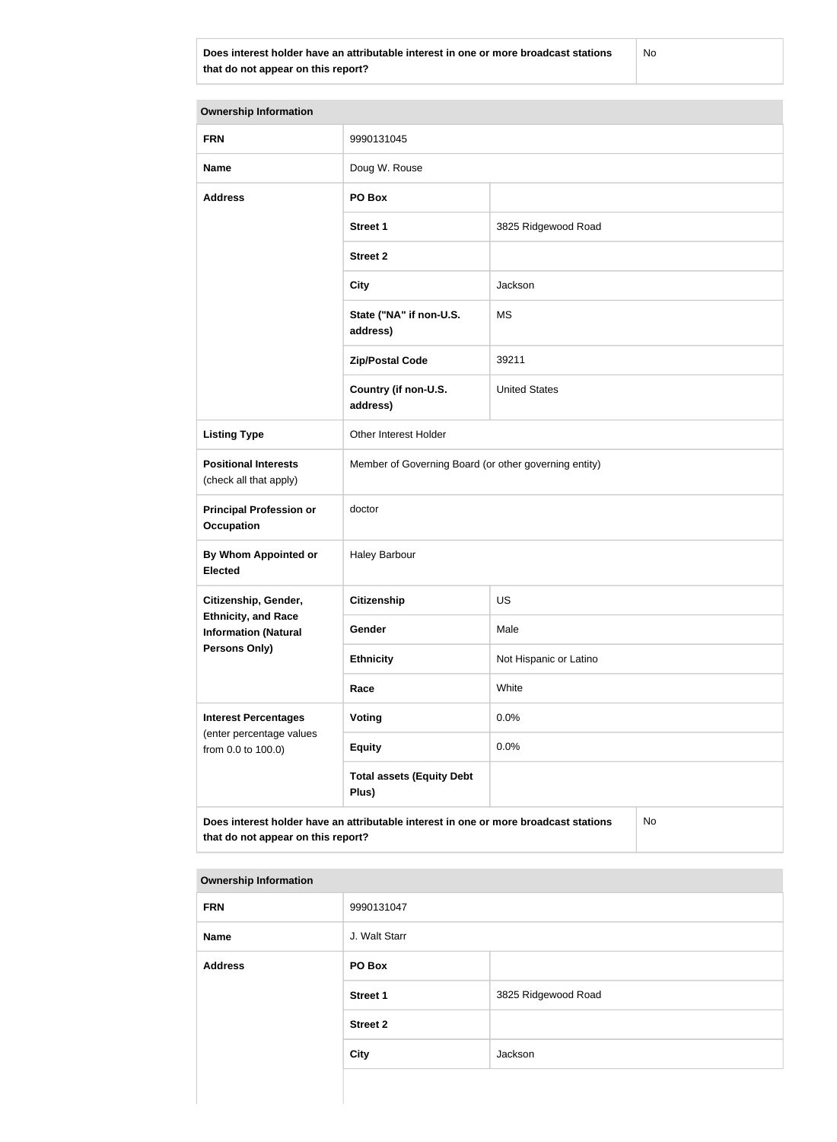**Does interest holder have an attributable interest in one or more broadcast stations that do not appear on this report?**

No

| <b>Ownership Information</b>                                                  |                                                                                      |                        |  |
|-------------------------------------------------------------------------------|--------------------------------------------------------------------------------------|------------------------|--|
| <b>FRN</b>                                                                    | 9990131045                                                                           |                        |  |
| <b>Name</b>                                                                   | Doug W. Rouse                                                                        |                        |  |
| <b>Address</b>                                                                | PO Box                                                                               |                        |  |
|                                                                               | <b>Street 1</b>                                                                      | 3825 Ridgewood Road    |  |
|                                                                               | <b>Street 2</b>                                                                      |                        |  |
|                                                                               | <b>City</b>                                                                          | Jackson                |  |
|                                                                               | State ("NA" if non-U.S.<br>address)                                                  | <b>MS</b>              |  |
|                                                                               | <b>Zip/Postal Code</b>                                                               | 39211                  |  |
|                                                                               | Country (if non-U.S.<br>address)                                                     | <b>United States</b>   |  |
| <b>Listing Type</b>                                                           | Other Interest Holder                                                                |                        |  |
| <b>Positional Interests</b><br>(check all that apply)                         | Member of Governing Board (or other governing entity)                                |                        |  |
| <b>Principal Profession or</b><br><b>Occupation</b>                           | doctor                                                                               |                        |  |
| By Whom Appointed or<br><b>Elected</b>                                        | <b>Haley Barbour</b>                                                                 |                        |  |
| Citizenship, Gender,                                                          | <b>Citizenship</b>                                                                   | <b>US</b>              |  |
| <b>Ethnicity, and Race</b><br><b>Information (Natural</b>                     | Gender                                                                               | Male                   |  |
| Persons Only)                                                                 | <b>Ethnicity</b>                                                                     | Not Hispanic or Latino |  |
|                                                                               | Race                                                                                 | White                  |  |
| <b>Interest Percentages</b><br>(enter percentage values<br>from 0.0 to 100.0) | Voting                                                                               | 0.0%                   |  |
|                                                                               | <b>Equity</b>                                                                        | 0.0%                   |  |
|                                                                               | <b>Total assets (Equity Debt</b><br>Plus)                                            |                        |  |
| that do not appear on this report?                                            | Does interest holder have an attributable interest in one or more broadcast stations | No                     |  |

| <b>FRN</b>     | 9990131047      |                     |
|----------------|-----------------|---------------------|
| Name           | J. Walt Starr   |                     |
| <b>Address</b> | PO Box          |                     |
|                | <b>Street 1</b> | 3825 Ridgewood Road |
|                | <b>Street 2</b> |                     |
|                | <b>City</b>     | Jackson             |
|                |                 |                     |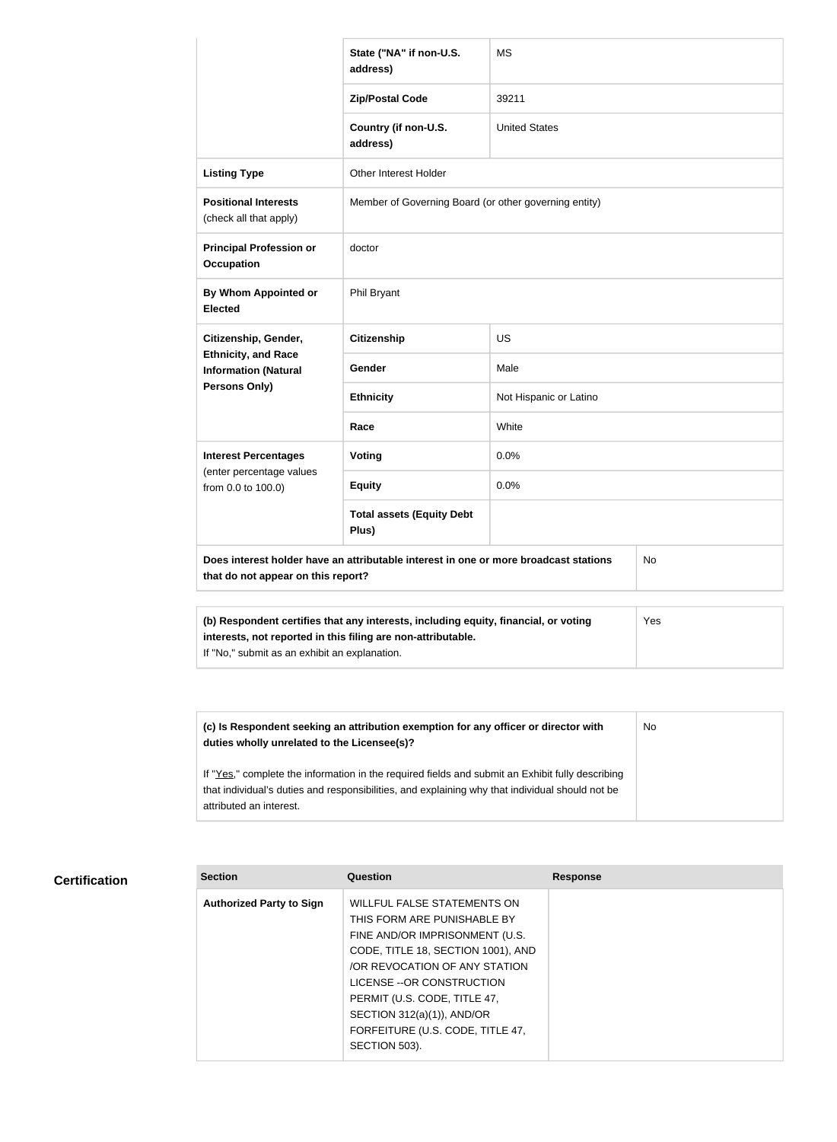|                                                                                                                                  | State ("NA" if non-U.S.<br>address)                                                 | <b>MS</b>              |     |
|----------------------------------------------------------------------------------------------------------------------------------|-------------------------------------------------------------------------------------|------------------------|-----|
|                                                                                                                                  | <b>Zip/Postal Code</b>                                                              | 39211                  |     |
|                                                                                                                                  | Country (if non-U.S.<br>address)                                                    | <b>United States</b>   |     |
| <b>Listing Type</b>                                                                                                              | <b>Other Interest Holder</b>                                                        |                        |     |
| <b>Positional Interests</b><br>(check all that apply)                                                                            | Member of Governing Board (or other governing entity)                               |                        |     |
| <b>Principal Profession or</b><br><b>Occupation</b>                                                                              | doctor                                                                              |                        |     |
| <b>By Whom Appointed or</b><br><b>Elected</b>                                                                                    | Phil Bryant                                                                         |                        |     |
| Citizenship, Gender,<br><b>Ethnicity, and Race</b><br><b>Information (Natural</b><br><b>Persons Only)</b>                        | <b>Citizenship</b>                                                                  | <b>US</b>              |     |
|                                                                                                                                  | Gender                                                                              | Male                   |     |
|                                                                                                                                  | <b>Ethnicity</b>                                                                    | Not Hispanic or Latino |     |
|                                                                                                                                  | Race                                                                                | White                  |     |
| <b>Interest Percentages</b>                                                                                                      | Voting                                                                              | 0.0%                   |     |
| (enter percentage values<br>from 0.0 to 100.0)                                                                                   | <b>Equity</b>                                                                       | 0.0%                   |     |
|                                                                                                                                  | <b>Total assets (Equity Debt</b><br>Plus)                                           |                        |     |
| Does interest holder have an attributable interest in one or more broadcast stations<br>No<br>that do not appear on this report? |                                                                                     |                        |     |
|                                                                                                                                  |                                                                                     |                        |     |
| interests, not reported in this filing are non-attributable.                                                                     | (b) Respondent certifies that any interests, including equity, financial, or voting |                        | Yes |

If "No," submit as an exhibit an explanation.

**(c) Is Respondent seeking an attribution exemption for any officer or director with duties wholly unrelated to the Licensee(s)?** If "Yes," complete the information in the required fields and submit an Exhibit fully describing that individual's duties and responsibilities, and explaining why that individual should not be attributed an interest. No

### **Certification**

| <b>Section</b>                  | Question                           | <b>Response</b> |
|---------------------------------|------------------------------------|-----------------|
| <b>Authorized Party to Sign</b> | <b>WILLFUL FALSE STATEMENTS ON</b> |                 |
|                                 | THIS FORM ARE PUNISHABLE BY        |                 |
|                                 | FINE AND/OR IMPRISONMENT (U.S.     |                 |
|                                 | CODE, TITLE 18, SECTION 1001), AND |                 |
|                                 | OR REVOCATION OF ANY STATION       |                 |
|                                 | LICENSE -- OR CONSTRUCTION         |                 |
|                                 | PERMIT (U.S. CODE, TITLE 47,       |                 |
|                                 | SECTION $312(a)(1)$ ), AND/OR      |                 |
|                                 | FORFEITURE (U.S. CODE, TITLE 47,   |                 |
|                                 | SECTION 503).                      |                 |
|                                 |                                    |                 |